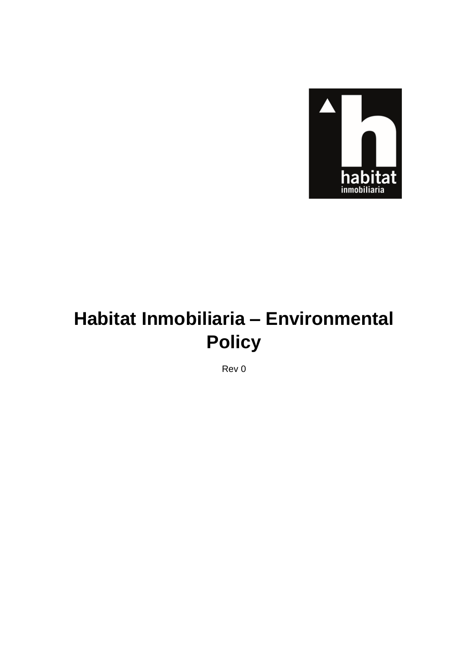

# Habitat Inmobiliaria - Environmental **Policy**

Rev 0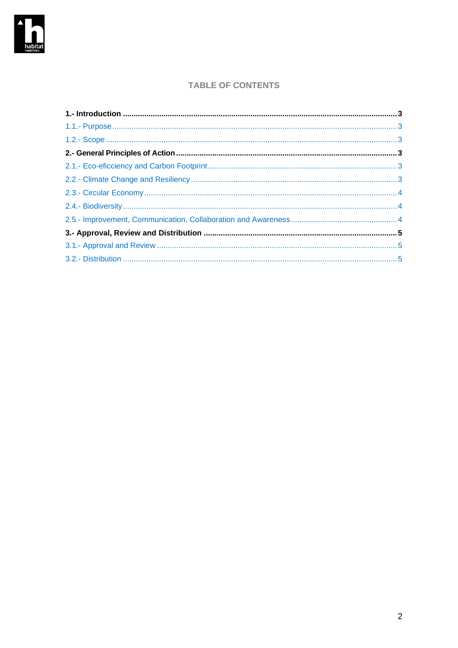

## **TABLE OF CONTENTS**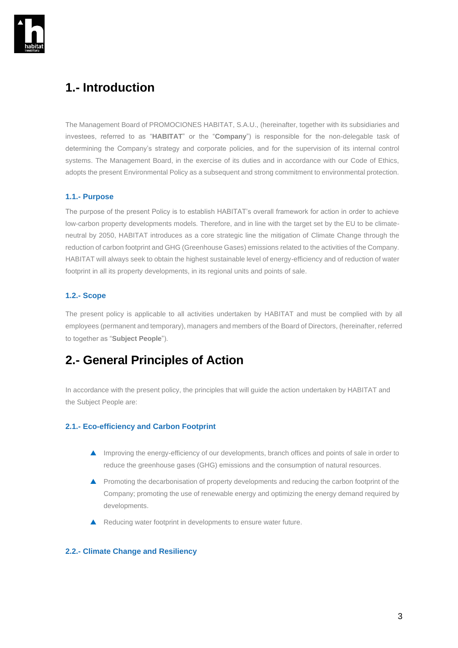

# <span id="page-2-0"></span>**1.- Introduction**

The Management Board of PROMOCIONES HABITAT, S.A.U., (hereinafter, together with its subsidiaries and investees, referred to as "**HABITAT**" or the "**Company**") is responsible for the non-delegable task of determining the Company's strategy and corporate policies, and for the supervision of its internal control systems. The Management Board, in the exercise of its duties and in accordance with our Code of Ethics, adopts the present Environmental Policy as a subsequent and strong commitment to environmental protection.

#### <span id="page-2-1"></span>**1.1.- Purpose**

The purpose of the present Policy is to establish HABITAT's overall framework for action in order to achieve low-carbon property developments models. Therefore, and in line with the target set by the EU to be climateneutral by 2050, HABITAT introduces as a core strategic line the mitigation of Climate Change through the reduction of carbon footprint and GHG (Greenhouse Gases) emissions related to the activities of the Company. HABITAT will always seek to obtain the highest sustainable level of energy-efficiency and of reduction of water footprint in all its property developments, in its regional units and points of sale.

### <span id="page-2-2"></span>**1.2.- Scope**

The present policy is applicable to all activities undertaken by HABITAT and must be complied with by all employees (permanent and temporary), managers and members of the Board of Directors, (hereinafter, referred to together as "**Subject People**").

# <span id="page-2-3"></span>**2.- General Principles of Action**

In accordance with the present policy, the principles that will guide the action undertaken by HABITAT and the Subject People are:

#### <span id="page-2-4"></span>**2.1.- Eco-efficiency and Carbon Footprint**

- **A** Improving the energy-efficiency of our developments, branch offices and points of sale in order to reduce the greenhouse gases (GHG) emissions and the consumption of natural resources.
- **A** Promoting the decarbonisation of property developments and reducing the carbon footprint of the Company; promoting the use of renewable energy and optimizing the energy demand required by developments.
- ▲ Reducing water footprint in developments to ensure water future.

#### <span id="page-2-5"></span>**2.2.- Climate Change and Resiliency**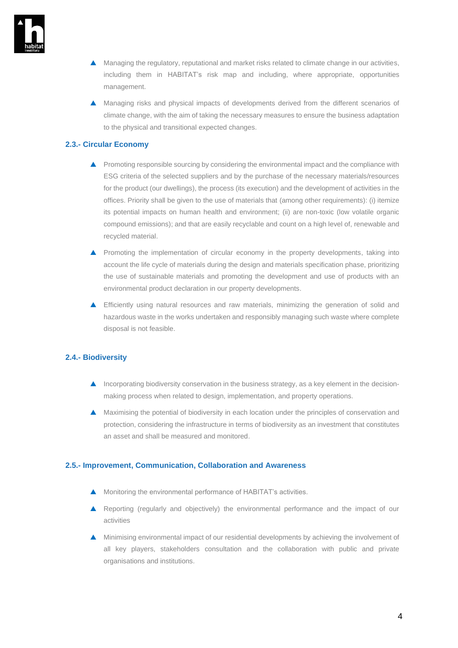

- $\triangle$  Managing the regulatory, reputational and market risks related to climate change in our activities, including them in HABITAT's risk map and including, where appropriate, opportunities management.
- Managing risks and physical impacts of developments derived from the different scenarios of climate change, with the aim of taking the necessary measures to ensure the business adaptation to the physical and transitional expected changes.

#### <span id="page-3-0"></span>**2.3.- Circular Economy**

- **A** Promoting responsible sourcing by considering the environmental impact and the compliance with ESG criteria of the selected suppliers and by the purchase of the necessary materials/resources for the product (our dwellings), the process (its execution) and the development of activities in the offices. Priority shall be given to the use of materials that (among other requirements): (i) itemize its potential impacts on human health and environment; (ii) are non-toxic (low volatile organic compound emissions); and that are easily recyclable and count on a high level of, renewable and recycled material.
- **A** Promoting the implementation of circular economy in the property developments, taking into account the life cycle of materials during the design and materials specification phase, prioritizing the use of sustainable materials and promoting the development and use of products with an environmental product declaration in our property developments.
- Efficiently using natural resources and raw materials, minimizing the generation of solid and hazardous waste in the works undertaken and responsibly managing such waste where complete disposal is not feasible.

#### <span id="page-3-1"></span>**2.4.- Biodiversity**

- $\blacktriangle$  Incorporating biodiversity conservation in the business strategy, as a key element in the decisionmaking process when related to design, implementation, and property operations.
- Maximising the potential of biodiversity in each location under the principles of conservation and protection, considering the infrastructure in terms of biodiversity as an investment that constitutes an asset and shall be measured and monitored.

#### <span id="page-3-2"></span>**2.5.- Improvement, Communication, Collaboration and Awareness**

- **A** Monitoring the environmental performance of HABITAT's activities.
- Reporting (regularly and objectively) the environmental performance and the impact of our activities
- Minimising environmental impact of our residential developments by achieving the involvement of all key players, stakeholders consultation and the collaboration with public and private organisations and institutions.